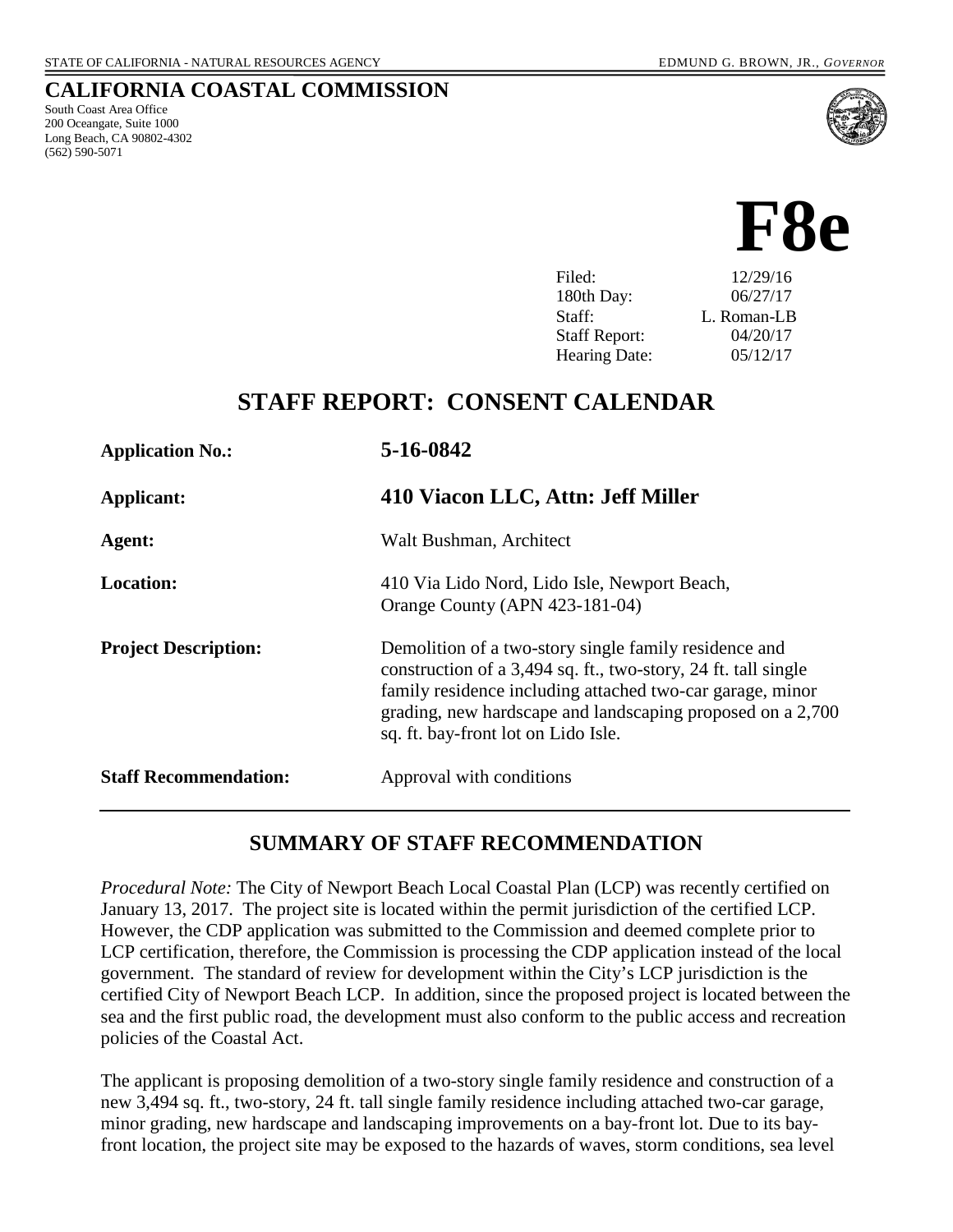South Coast Area Office 200 Oceangate, Suite 1000 Long Beach, CA 90802-4302

(562) 590-5071

**CALIFORNIA COASTAL COMMISSION**



| Filed:               | 12/29/16    |
|----------------------|-------------|
| 180th Day:           | 06/27/17    |
| Staff:               | L. Roman-LB |
| <b>Staff Report:</b> | 04/20/17    |
| <b>Hearing Date:</b> | 05/12/17    |
|                      |             |

## **STAFF REPORT: CONSENT CALENDAR**

| <b>Application No.:</b>      | 5-16-0842                                                                                                                                                                                                                                                                                 |
|------------------------------|-------------------------------------------------------------------------------------------------------------------------------------------------------------------------------------------------------------------------------------------------------------------------------------------|
| Applicant:                   | 410 Viacon LLC, Attn: Jeff Miller                                                                                                                                                                                                                                                         |
| Agent:                       | Walt Bushman, Architect                                                                                                                                                                                                                                                                   |
| <b>Location:</b>             | 410 Via Lido Nord, Lido Isle, Newport Beach,<br>Orange County (APN 423-181-04)                                                                                                                                                                                                            |
| <b>Project Description:</b>  | Demolition of a two-story single family residence and<br>construction of a 3,494 sq. ft., two-story, 24 ft. tall single<br>family residence including attached two-car garage, minor<br>grading, new hardscape and landscaping proposed on a 2,700<br>sq. ft. bay-front lot on Lido Isle. |
| <b>Staff Recommendation:</b> | Approval with conditions                                                                                                                                                                                                                                                                  |

#### **SUMMARY OF STAFF RECOMMENDATION**

*Procedural Note:* The City of Newport Beach Local Coastal Plan (LCP) was recently certified on January 13, 2017. The project site is located within the permit jurisdiction of the certified LCP. However, the CDP application was submitted to the Commission and deemed complete prior to LCP certification, therefore, the Commission is processing the CDP application instead of the local government. The standard of review for development within the City's LCP jurisdiction is the certified City of Newport Beach LCP. In addition, since the proposed project is located between the sea and the first public road, the development must also conform to the public access and recreation policies of the Coastal Act.

The applicant is proposing demolition of a two-story single family residence and construction of a new 3,494 sq. ft., two-story, 24 ft. tall single family residence including attached two-car garage, minor grading, new hardscape and landscaping improvements on a bay-front lot. Due to its bayfront location, the project site may be exposed to the hazards of waves, storm conditions, sea level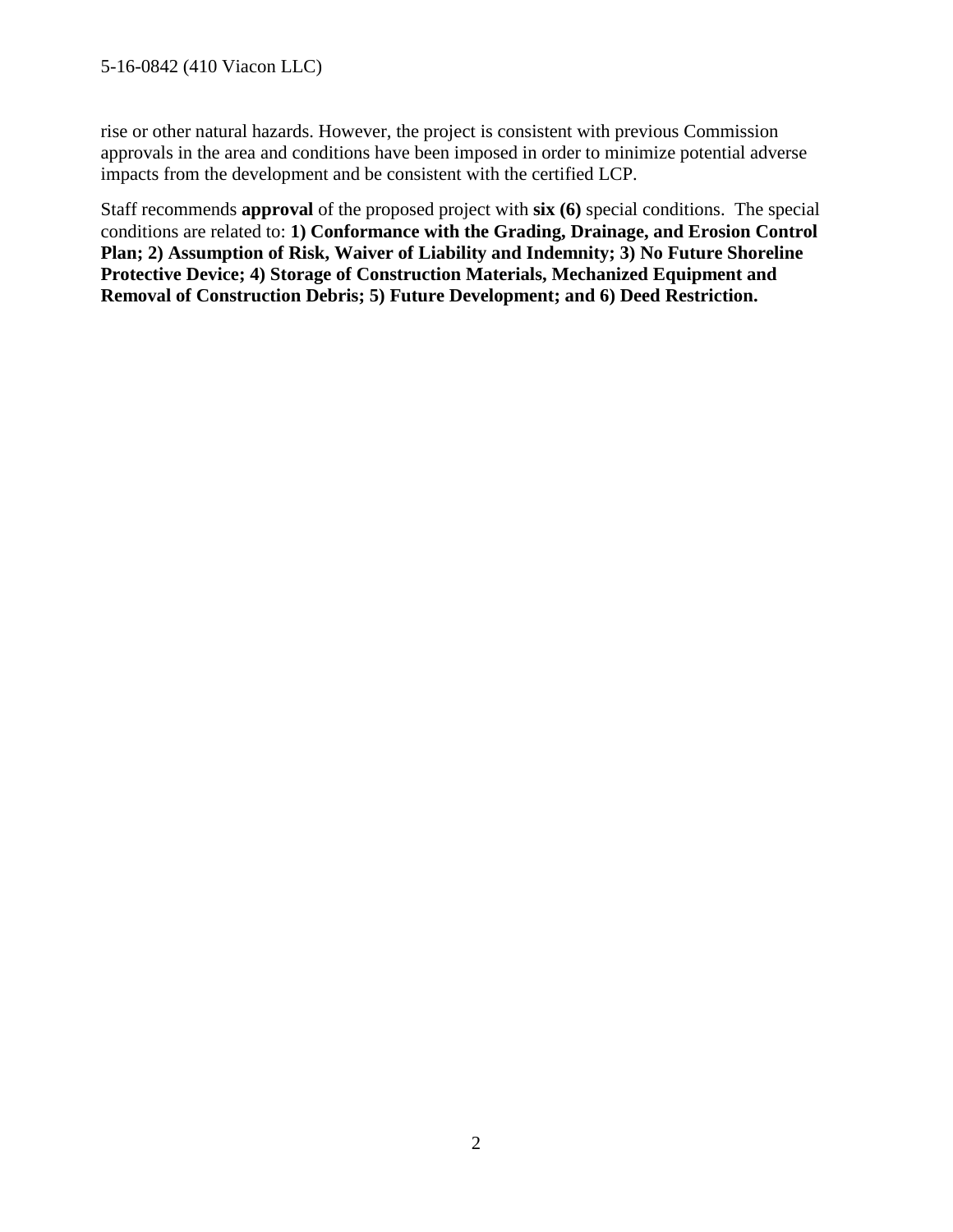rise or other natural hazards. However, the project is consistent with previous Commission approvals in the area and conditions have been imposed in order to minimize potential adverse impacts from the development and be consistent with the certified LCP.

Staff recommends **approval** of the proposed project with **six (6)** special conditions. The special conditions are related to: **1) Conformance with the Grading, Drainage, and Erosion Control Plan; 2) Assumption of Risk, Waiver of Liability and Indemnity; 3) No Future Shoreline Protective Device; 4) Storage of Construction Materials, Mechanized Equipment and Removal of Construction Debris; 5) Future Development; and 6) Deed Restriction.**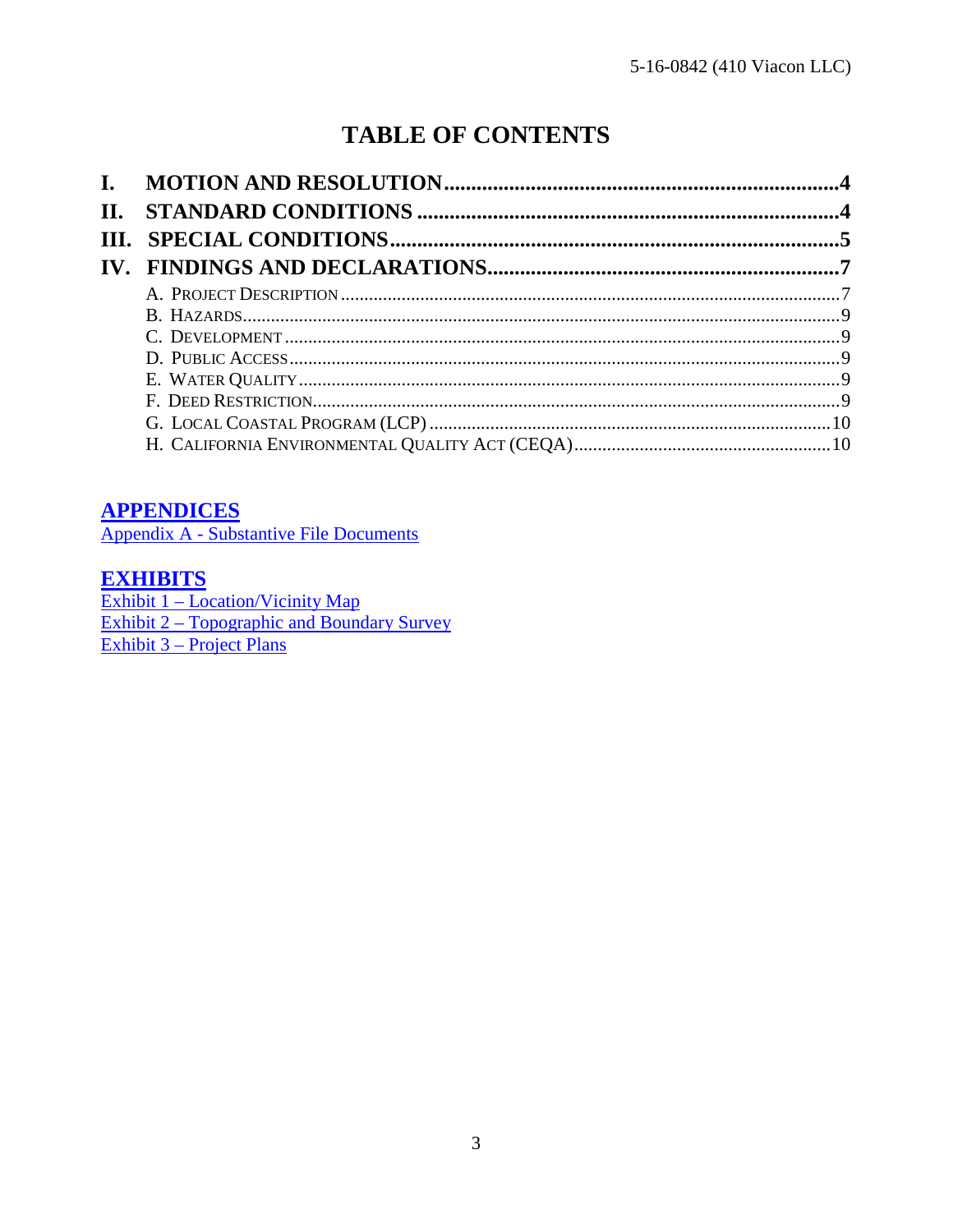# **TABLE OF CONTENTS**

| П. |  |
|----|--|
|    |  |
|    |  |
|    |  |
|    |  |
|    |  |
|    |  |
|    |  |
|    |  |
|    |  |
|    |  |

#### **APPENDICES**

Appendix A - Substantive File Documents

#### **EXHIBITS**

 $\frac{\text{Exhibit 1} - \text{Location/Vicinity Map}}{\text{Exhibit 2} - \text{Topographic and Boundary Survey}}$ Exhibit 3 – Project Plans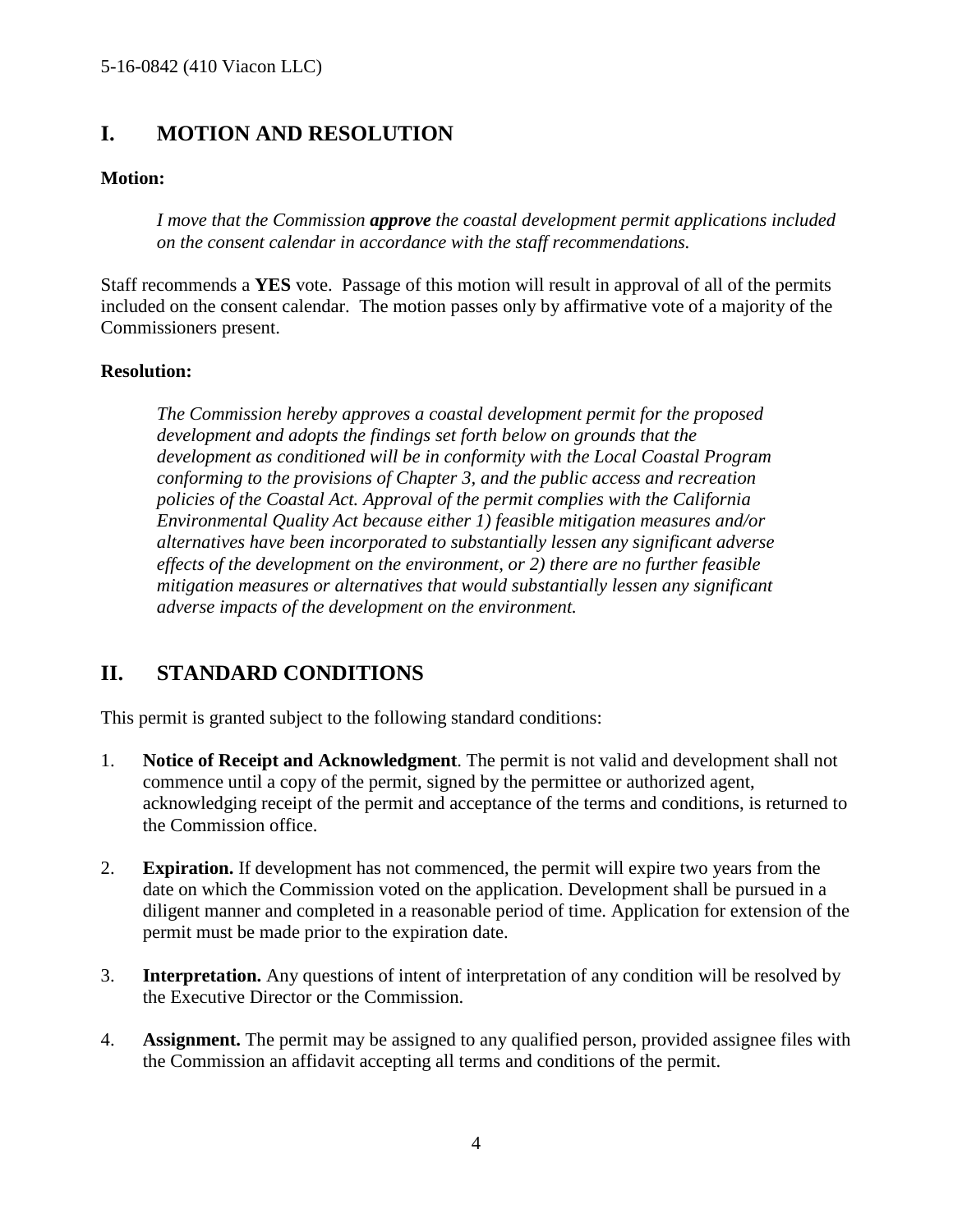#### <span id="page-3-0"></span>**I. MOTION AND RESOLUTION**

#### **Motion:**

*I move that the Commission approve the coastal development permit applications included on the consent calendar in accordance with the staff recommendations.*

Staff recommends a **YES** vote. Passage of this motion will result in approval of all of the permits included on the consent calendar. The motion passes only by affirmative vote of a majority of the Commissioners present.

#### **Resolution:**

*The Commission hereby approves a coastal development permit for the proposed development and adopts the findings set forth below on grounds that the development as conditioned will be in conformity with the Local Coastal Program conforming to the provisions of Chapter 3, and the public access and recreation policies of the Coastal Act. Approval of the permit complies with the California Environmental Quality Act because either 1) feasible mitigation measures and/or alternatives have been incorporated to substantially lessen any significant adverse effects of the development on the environment, or 2) there are no further feasible mitigation measures or alternatives that would substantially lessen any significant adverse impacts of the development on the environment.* 

## <span id="page-3-1"></span>**II. STANDARD CONDITIONS**

This permit is granted subject to the following standard conditions:

- 1. **Notice of Receipt and Acknowledgment**. The permit is not valid and development shall not commence until a copy of the permit, signed by the permittee or authorized agent, acknowledging receipt of the permit and acceptance of the terms and conditions, is returned to the Commission office.
- 2. **Expiration.** If development has not commenced, the permit will expire two years from the date on which the Commission voted on the application. Development shall be pursued in a diligent manner and completed in a reasonable period of time. Application for extension of the permit must be made prior to the expiration date.
- 3. **Interpretation.** Any questions of intent of interpretation of any condition will be resolved by the Executive Director or the Commission.
- 4. **Assignment.** The permit may be assigned to any qualified person, provided assignee files with the Commission an affidavit accepting all terms and conditions of the permit.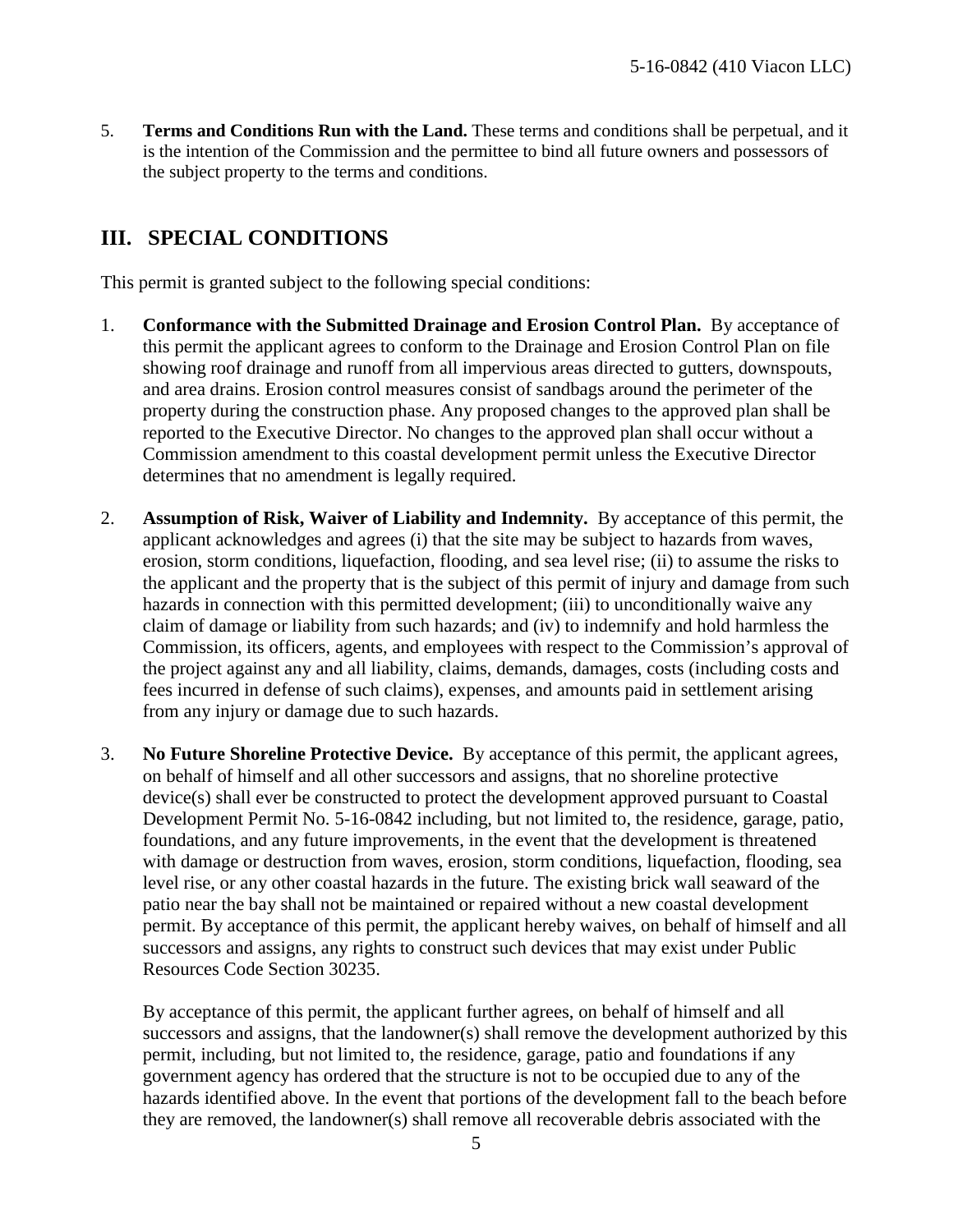5. **Terms and Conditions Run with the Land.** These terms and conditions shall be perpetual, and it is the intention of the Commission and the permittee to bind all future owners and possessors of the subject property to the terms and conditions.

## <span id="page-4-0"></span>**III. SPECIAL CONDITIONS**

This permit is granted subject to the following special conditions:

- 1. **Conformance with the Submitted Drainage and Erosion Control Plan.** By acceptance of this permit the applicant agrees to conform to the Drainage and Erosion Control Plan on file showing roof drainage and runoff from all impervious areas directed to gutters, downspouts, and area drains. Erosion control measures consist of sandbags around the perimeter of the property during the construction phase. Any proposed changes to the approved plan shall be reported to the Executive Director. No changes to the approved plan shall occur without a Commission amendment to this coastal development permit unless the Executive Director determines that no amendment is legally required.
- 2. **Assumption of Risk, Waiver of Liability and Indemnity.** By acceptance of this permit, the applicant acknowledges and agrees (i) that the site may be subject to hazards from waves, erosion, storm conditions, liquefaction, flooding, and sea level rise; (ii) to assume the risks to the applicant and the property that is the subject of this permit of injury and damage from such hazards in connection with this permitted development; (iii) to unconditionally waive any claim of damage or liability from such hazards; and (iv) to indemnify and hold harmless the Commission, its officers, agents, and employees with respect to the Commission's approval of the project against any and all liability, claims, demands, damages, costs (including costs and fees incurred in defense of such claims), expenses, and amounts paid in settlement arising from any injury or damage due to such hazards.
- 3. **No Future Shoreline Protective Device.** By acceptance of this permit, the applicant agrees, on behalf of himself and all other successors and assigns, that no shoreline protective device(s) shall ever be constructed to protect the development approved pursuant to Coastal Development Permit No. 5-16-0842 including, but not limited to, the residence, garage, patio, foundations, and any future improvements, in the event that the development is threatened with damage or destruction from waves, erosion, storm conditions, liquefaction, flooding, sea level rise, or any other coastal hazards in the future. The existing brick wall seaward of the patio near the bay shall not be maintained or repaired without a new coastal development permit. By acceptance of this permit, the applicant hereby waives, on behalf of himself and all successors and assigns, any rights to construct such devices that may exist under Public Resources Code Section 30235.

By acceptance of this permit, the applicant further agrees, on behalf of himself and all successors and assigns, that the landowner(s) shall remove the development authorized by this permit, including, but not limited to, the residence, garage, patio and foundations if any government agency has ordered that the structure is not to be occupied due to any of the hazards identified above. In the event that portions of the development fall to the beach before they are removed, the landowner(s) shall remove all recoverable debris associated with the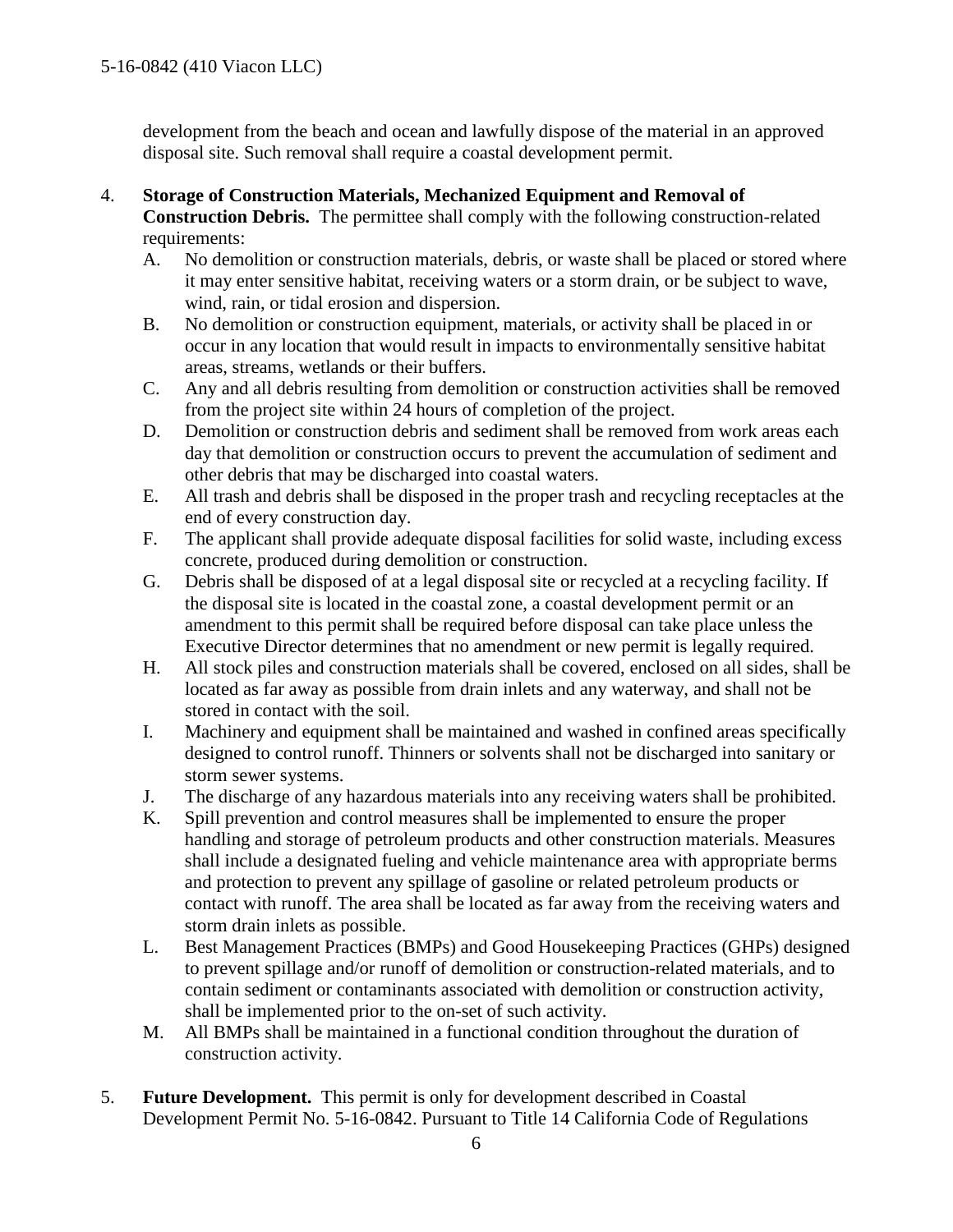development from the beach and ocean and lawfully dispose of the material in an approved disposal site. Such removal shall require a coastal development permit.

- 4. **Storage of Construction Materials, Mechanized Equipment and Removal of Construction Debris.** The permittee shall comply with the following construction-related requirements:
	- A. No demolition or construction materials, debris, or waste shall be placed or stored where it may enter sensitive habitat, receiving waters or a storm drain, or be subject to wave, wind, rain, or tidal erosion and dispersion.
	- B. No demolition or construction equipment, materials, or activity shall be placed in or occur in any location that would result in impacts to environmentally sensitive habitat areas, streams, wetlands or their buffers.
	- C. Any and all debris resulting from demolition or construction activities shall be removed from the project site within 24 hours of completion of the project.
	- D. Demolition or construction debris and sediment shall be removed from work areas each day that demolition or construction occurs to prevent the accumulation of sediment and other debris that may be discharged into coastal waters.
	- E. All trash and debris shall be disposed in the proper trash and recycling receptacles at the end of every construction day.
	- F. The applicant shall provide adequate disposal facilities for solid waste, including excess concrete, produced during demolition or construction.
	- G. Debris shall be disposed of at a legal disposal site or recycled at a recycling facility. If the disposal site is located in the coastal zone, a coastal development permit or an amendment to this permit shall be required before disposal can take place unless the Executive Director determines that no amendment or new permit is legally required.
	- H. All stock piles and construction materials shall be covered, enclosed on all sides, shall be located as far away as possible from drain inlets and any waterway, and shall not be stored in contact with the soil.
	- I. Machinery and equipment shall be maintained and washed in confined areas specifically designed to control runoff. Thinners or solvents shall not be discharged into sanitary or storm sewer systems.
	- J. The discharge of any hazardous materials into any receiving waters shall be prohibited.
	- K. Spill prevention and control measures shall be implemented to ensure the proper handling and storage of petroleum products and other construction materials. Measures shall include a designated fueling and vehicle maintenance area with appropriate berms and protection to prevent any spillage of gasoline or related petroleum products or contact with runoff. The area shall be located as far away from the receiving waters and storm drain inlets as possible.
	- L. Best Management Practices (BMPs) and Good Housekeeping Practices (GHPs) designed to prevent spillage and/or runoff of demolition or construction-related materials, and to contain sediment or contaminants associated with demolition or construction activity, shall be implemented prior to the on-set of such activity.
	- M. All BMPs shall be maintained in a functional condition throughout the duration of construction activity.
- 5. **Future Development.** This permit is only for development described in Coastal Development Permit No. 5-16-0842. Pursuant to Title 14 California Code of Regulations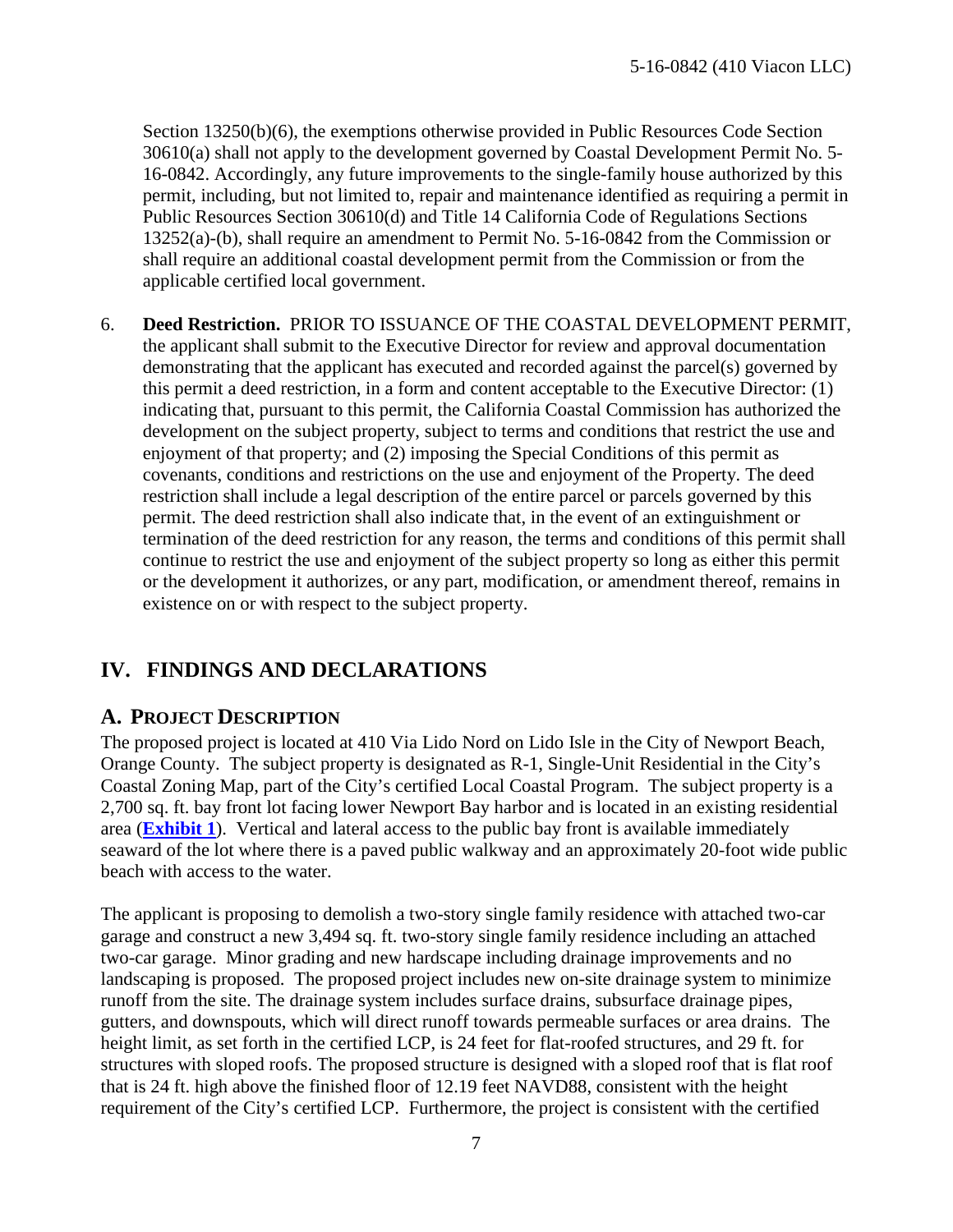Section 13250(b)(6), the exemptions otherwise provided in Public Resources Code Section 30610(a) shall not apply to the development governed by Coastal Development Permit No. 5- 16-0842. Accordingly, any future improvements to the single-family house authorized by this permit, including, but not limited to, repair and maintenance identified as requiring a permit in Public Resources Section 30610(d) and Title 14 California Code of Regulations Sections 13252(a)-(b), shall require an amendment to Permit No. 5-16-0842 from the Commission or shall require an additional coastal development permit from the Commission or from the applicable certified local government.

6. **Deed Restriction.** PRIOR TO ISSUANCE OF THE COASTAL DEVELOPMENT PERMIT, the applicant shall submit to the Executive Director for review and approval documentation demonstrating that the applicant has executed and recorded against the parcel(s) governed by this permit a deed restriction, in a form and content acceptable to the Executive Director: (1) indicating that, pursuant to this permit, the California Coastal Commission has authorized the development on the subject property, subject to terms and conditions that restrict the use and enjoyment of that property; and (2) imposing the Special Conditions of this permit as covenants, conditions and restrictions on the use and enjoyment of the Property. The deed restriction shall include a legal description of the entire parcel or parcels governed by this permit. The deed restriction shall also indicate that, in the event of an extinguishment or termination of the deed restriction for any reason, the terms and conditions of this permit shall continue to restrict the use and enjoyment of the subject property so long as either this permit or the development it authorizes, or any part, modification, or amendment thereof, remains in existence on or with respect to the subject property.

#### <span id="page-6-0"></span>**IV. FINDINGS AND DECLARATIONS**

#### <span id="page-6-1"></span>**A. PROJECT DESCRIPTION**

The proposed project is located at 410 Via Lido Nord on Lido Isle in the City of Newport Beach, Orange County. The subject property is designated as R-1, Single-Unit Residential in the City's Coastal Zoning Map, part of the City's certified Local Coastal Program. The subject property is a 2,700 sq. ft. bay front lot facing lower Newport Bay harbor and is located in an existing residential area (**[Exhibit 1](https://documents.coastal.ca.gov/reports/2017/5/F8e/F8e-5-2017-exhibits.pdf)**). Vertical and lateral access to the public bay front is available immediately seaward of the lot where there is a paved public walkway and an approximately 20-foot wide public beach with access to the water.

The applicant is proposing to demolish a two-story single family residence with attached two-car garage and construct a new 3,494 sq. ft. two-story single family residence including an attached two-car garage. Minor grading and new hardscape including drainage improvements and no landscaping is proposed. The proposed project includes new on-site drainage system to minimize runoff from the site. The drainage system includes surface drains, subsurface drainage pipes, gutters, and downspouts, which will direct runoff towards permeable surfaces or area drains. The height limit, as set forth in the certified LCP, is 24 feet for flat-roofed structures, and 29 ft. for structures with sloped roofs. The proposed structure is designed with a sloped roof that is flat roof that is 24 ft. high above the finished floor of 12.19 feet NAVD88, consistent with the height requirement of the City's certified LCP. Furthermore, the project is consistent with the certified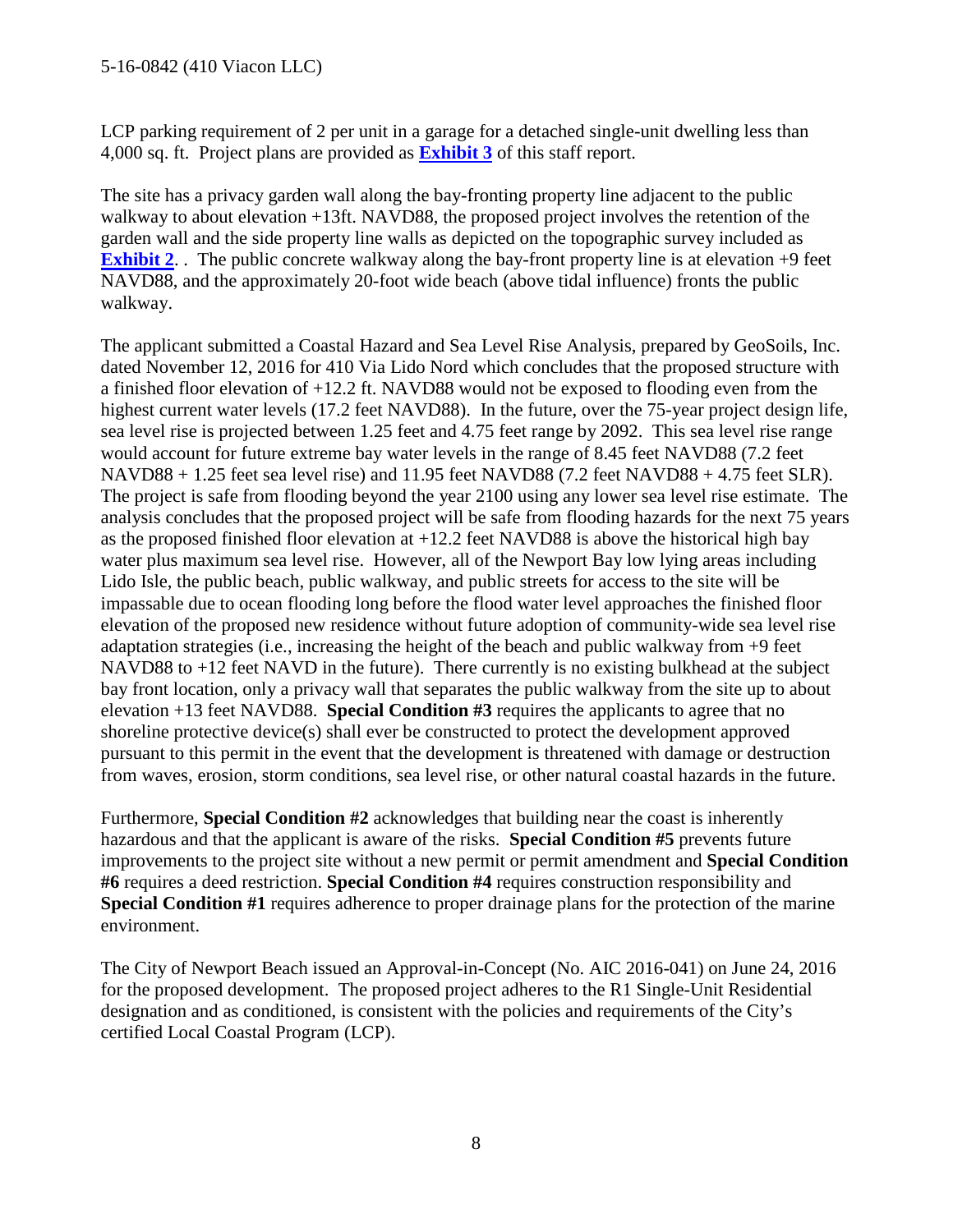LCP parking requirement of 2 per unit in a garage for a detached single-unit dwelling less than 4,000 sq. ft. Project plans are provided as **[Exhibit 3](https://documents.coastal.ca.gov/reports/2017/5/F8e/F8e-5-2017-exhibits.pdf)** of this staff report.

The site has a privacy garden wall along the bay-fronting property line adjacent to the public walkway to about elevation +13ft. NAVD88, the proposed project involves the retention of the garden wall and the side property line walls as depicted on the topographic survey included as **[Exhibit 2](https://documents.coastal.ca.gov/reports/2017/5/F8e/F8e-5-2017-exhibits.pdf).** The public concrete walkway along the bay-front property line is at elevation +9 feet NAVD88, and the approximately 20-foot wide beach (above tidal influence) fronts the public walkway.

The applicant submitted a Coastal Hazard and Sea Level Rise Analysis, prepared by GeoSoils, Inc. dated November 12, 2016 for 410 Via Lido Nord which concludes that the proposed structure with a finished floor elevation of +12.2 ft. NAVD88 would not be exposed to flooding even from the highest current water levels (17.2 feet NAVD88). In the future, over the 75-year project design life, sea level rise is projected between 1.25 feet and 4.75 feet range by 2092. This sea level rise range would account for future extreme bay water levels in the range of 8.45 feet NAVD88 (7.2 feet NAVD88 + 1.25 feet sea level rise) and 11.95 feet NAVD88 (7.2 feet NAVD88 + 4.75 feet SLR). The project is safe from flooding beyond the year 2100 using any lower sea level rise estimate. The analysis concludes that the proposed project will be safe from flooding hazards for the next 75 years as the proposed finished floor elevation at +12.2 feet NAVD88 is above the historical high bay water plus maximum sea level rise. However, all of the Newport Bay low lying areas including Lido Isle, the public beach, public walkway, and public streets for access to the site will be impassable due to ocean flooding long before the flood water level approaches the finished floor elevation of the proposed new residence without future adoption of community-wide sea level rise adaptation strategies (i.e., increasing the height of the beach and public walkway from +9 feet NAVD88 to +12 feet NAVD in the future). There currently is no existing bulkhead at the subject bay front location, only a privacy wall that separates the public walkway from the site up to about elevation +13 feet NAVD88. **Special Condition #3** requires the applicants to agree that no shoreline protective device(s) shall ever be constructed to protect the development approved pursuant to this permit in the event that the development is threatened with damage or destruction from waves, erosion, storm conditions, sea level rise, or other natural coastal hazards in the future.

Furthermore, **Special Condition #2** acknowledges that building near the coast is inherently hazardous and that the applicant is aware of the risks. **Special Condition #5** prevents future improvements to the project site without a new permit or permit amendment and **Special Condition #6** requires a deed restriction. **Special Condition #4** requires construction responsibility and **Special Condition #1** requires adherence to proper drainage plans for the protection of the marine environment.

The City of Newport Beach issued an Approval-in-Concept (No. AIC 2016-041) on June 24, 2016 for the proposed development. The proposed project adheres to the R1 Single-Unit Residential designation and as conditioned, is consistent with the policies and requirements of the City's certified Local Coastal Program (LCP).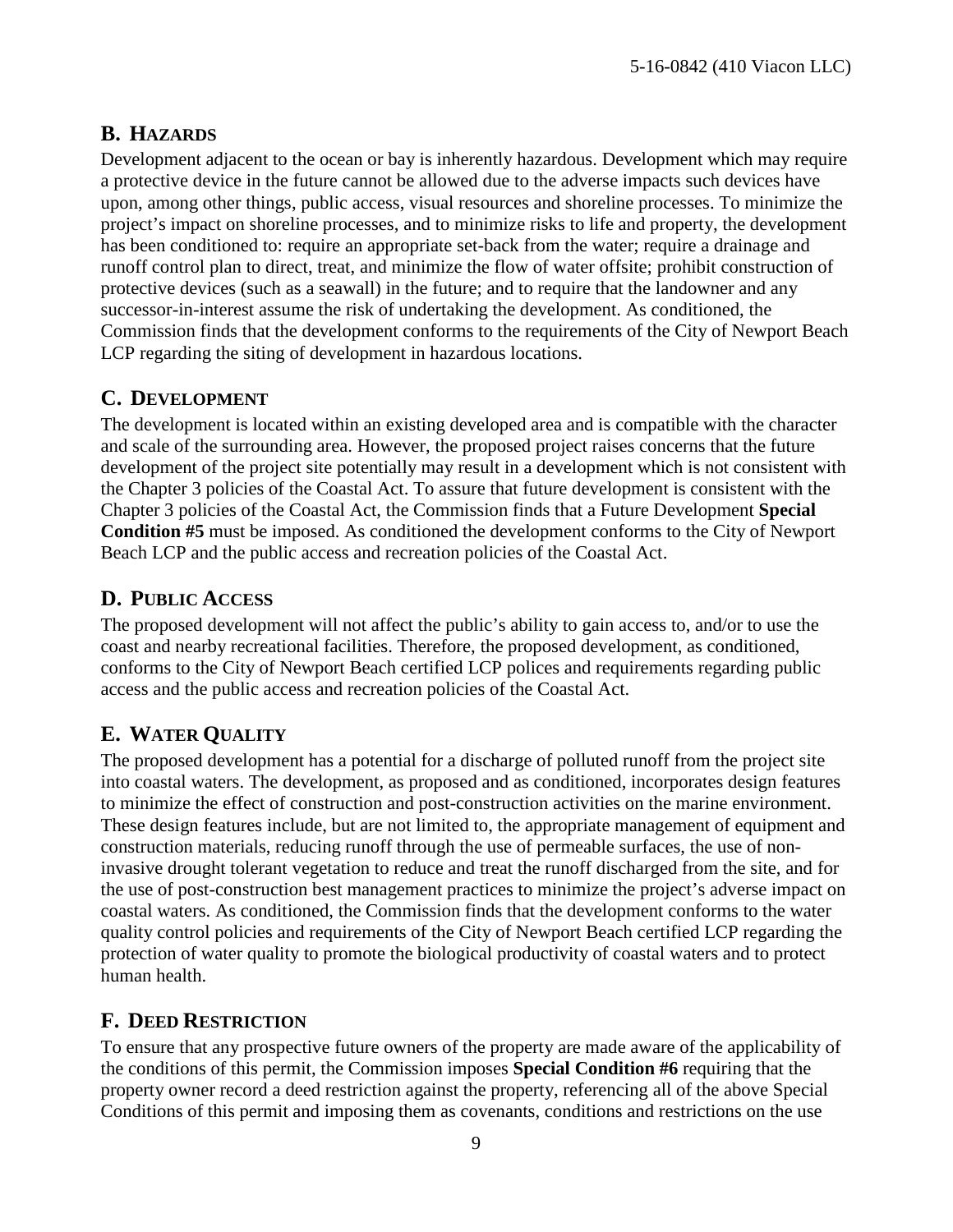#### <span id="page-8-0"></span>**B. HAZARDS**

Development adjacent to the ocean or bay is inherently hazardous. Development which may require a protective device in the future cannot be allowed due to the adverse impacts such devices have upon, among other things, public access, visual resources and shoreline processes. To minimize the project's impact on shoreline processes, and to minimize risks to life and property, the development has been conditioned to: require an appropriate set-back from the water; require a drainage and runoff control plan to direct, treat, and minimize the flow of water offsite; prohibit construction of protective devices (such as a seawall) in the future; and to require that the landowner and any successor-in-interest assume the risk of undertaking the development. As conditioned, the Commission finds that the development conforms to the requirements of the City of Newport Beach LCP regarding the siting of development in hazardous locations.

#### <span id="page-8-1"></span>**C. DEVELOPMENT**

The development is located within an existing developed area and is compatible with the character and scale of the surrounding area. However, the proposed project raises concerns that the future development of the project site potentially may result in a development which is not consistent with the Chapter 3 policies of the Coastal Act. To assure that future development is consistent with the Chapter 3 policies of the Coastal Act, the Commission finds that a Future Development **Special Condition #5** must be imposed. As conditioned the development conforms to the City of Newport Beach LCP and the public access and recreation policies of the Coastal Act.

#### <span id="page-8-2"></span>**D. PUBLIC ACCESS**

The proposed development will not affect the public's ability to gain access to, and/or to use the coast and nearby recreational facilities. Therefore, the proposed development, as conditioned, conforms to the City of Newport Beach certified LCP polices and requirements regarding public access and the public access and recreation policies of the Coastal Act.

## <span id="page-8-3"></span>**E. WATER QUALITY**

The proposed development has a potential for a discharge of polluted runoff from the project site into coastal waters. The development, as proposed and as conditioned, incorporates design features to minimize the effect of construction and post-construction activities on the marine environment. These design features include, but are not limited to, the appropriate management of equipment and construction materials, reducing runoff through the use of permeable surfaces, the use of noninvasive drought tolerant vegetation to reduce and treat the runoff discharged from the site, and for the use of post-construction best management practices to minimize the project's adverse impact on coastal waters. As conditioned, the Commission finds that the development conforms to the water quality control policies and requirements of the City of Newport Beach certified LCP regarding the protection of water quality to promote the biological productivity of coastal waters and to protect human health.

## <span id="page-8-4"></span>**F. DEED RESTRICTION**

To ensure that any prospective future owners of the property are made aware of the applicability of the conditions of this permit, the Commission imposes **Special Condition #6** requiring that the property owner record a deed restriction against the property, referencing all of the above Special Conditions of this permit and imposing them as covenants, conditions and restrictions on the use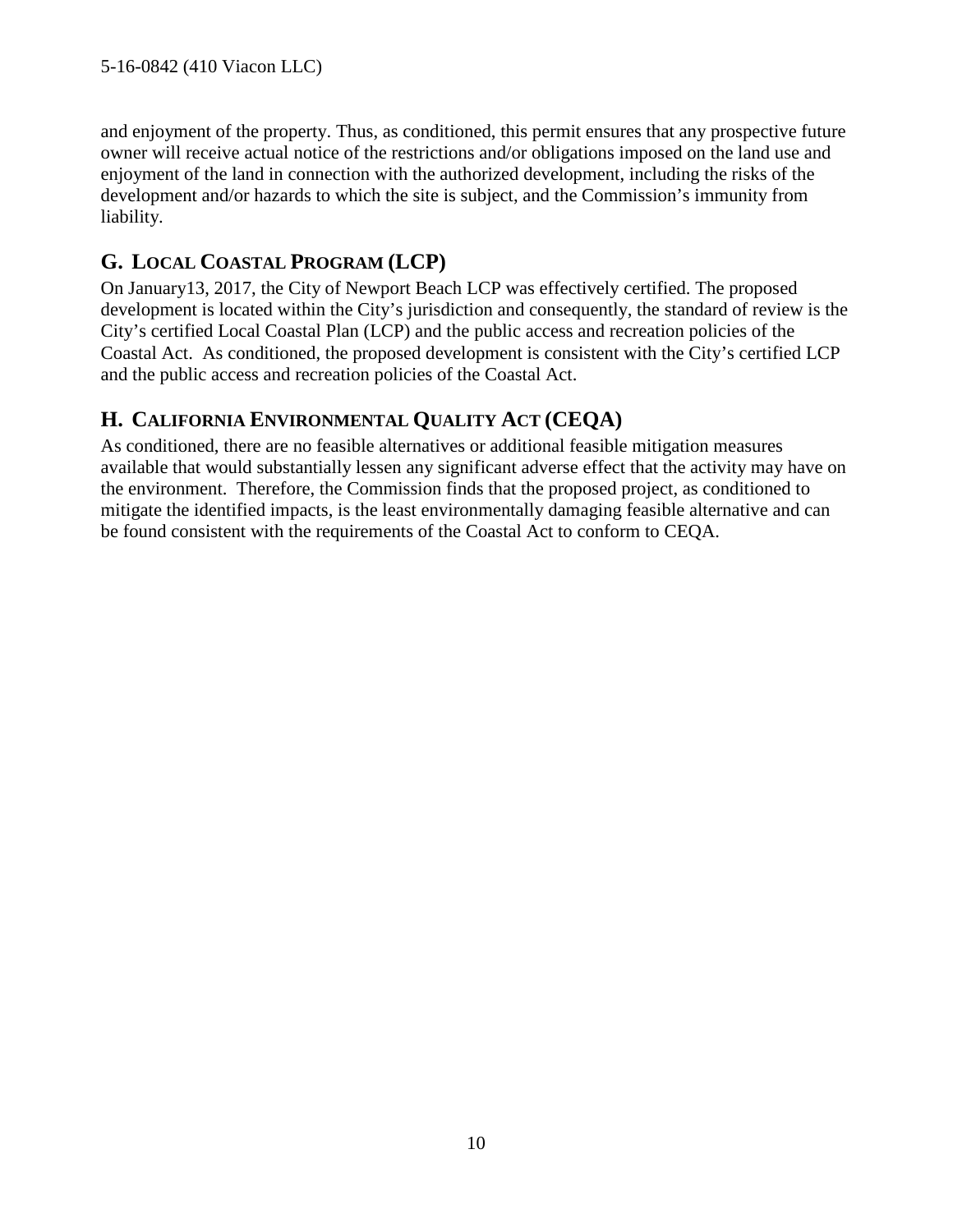and enjoyment of the property. Thus, as conditioned, this permit ensures that any prospective future owner will receive actual notice of the restrictions and/or obligations imposed on the land use and enjoyment of the land in connection with the authorized development, including the risks of the development and/or hazards to which the site is subject, and the Commission's immunity from liability.

## <span id="page-9-0"></span>**G. LOCAL COASTAL PROGRAM (LCP)**

On January13, 2017, the City of Newport Beach LCP was effectively certified. The proposed development is located within the City's jurisdiction and consequently, the standard of review is the City's certified Local Coastal Plan (LCP) and the public access and recreation policies of the Coastal Act. As conditioned, the proposed development is consistent with the City's certified LCP and the public access and recreation policies of the Coastal Act.

#### <span id="page-9-1"></span>**H. CALIFORNIA ENVIRONMENTAL QUALITY ACT (CEQA)**

As conditioned, there are no feasible alternatives or additional feasible mitigation measures available that would substantially lessen any significant adverse effect that the activity may have on the environment. Therefore, the Commission finds that the proposed project, as conditioned to mitigate the identified impacts, is the least environmentally damaging feasible alternative and can be found consistent with the requirements of the Coastal Act to conform to CEQA.